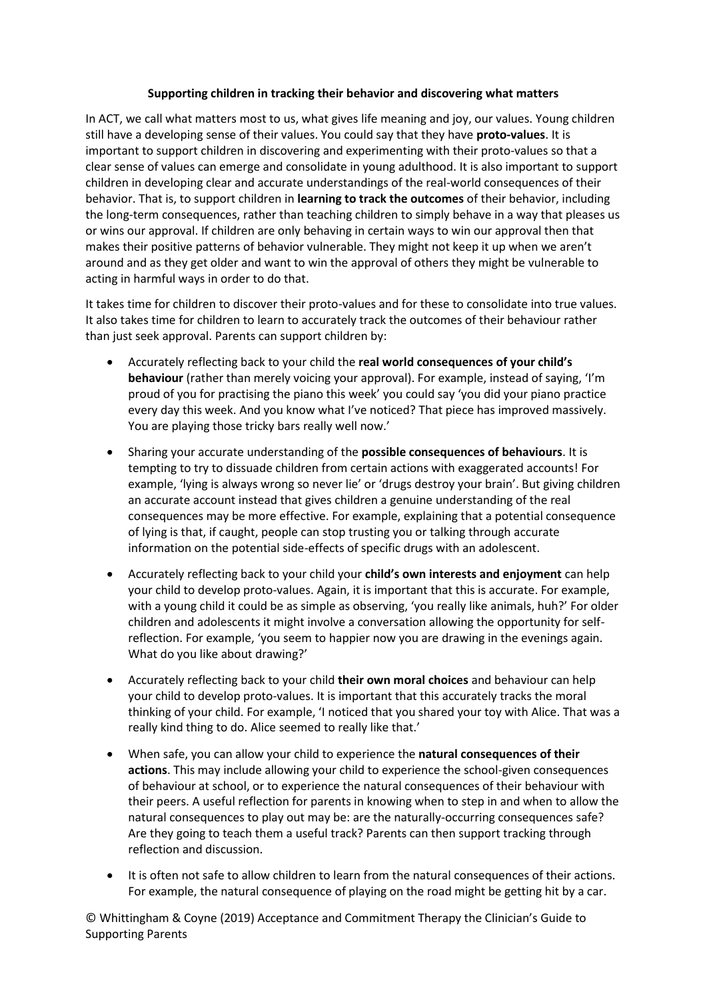## **Supporting children in tracking their behavior and discovering what matters**

In ACT, we call what matters most to us, what gives life meaning and joy, our values. Young children still have a developing sense of their values. You could say that they have **proto-values**. It is important to support children in discovering and experimenting with their proto-values so that a clear sense of values can emerge and consolidate in young adulthood. It is also important to support children in developing clear and accurate understandings of the real-world consequences of their behavior. That is, to support children in **learning to track the outcomes** of their behavior, including the long-term consequences, rather than teaching children to simply behave in a way that pleases us or wins our approval. If children are only behaving in certain ways to win our approval then that makes their positive patterns of behavior vulnerable. They might not keep it up when we aren't around and as they get older and want to win the approval of others they might be vulnerable to acting in harmful ways in order to do that.

It takes time for children to discover their proto-values and for these to consolidate into true values. It also takes time for children to learn to accurately track the outcomes of their behaviour rather than just seek approval. Parents can support children by:

- Accurately reflecting back to your child the **real world consequences of your child's behaviour** (rather than merely voicing your approval). For example, instead of saying, 'I'm proud of you for practising the piano this week' you could say 'you did your piano practice every day this week. And you know what I've noticed? That piece has improved massively. You are playing those tricky bars really well now.'
- Sharing your accurate understanding of the **possible consequences of behaviours**. It is tempting to try to dissuade children from certain actions with exaggerated accounts! For example, 'lying is always wrong so never lie' or 'drugs destroy your brain'. But giving children an accurate account instead that gives children a genuine understanding of the real consequences may be more effective. For example, explaining that a potential consequence of lying is that, if caught, people can stop trusting you or talking through accurate information on the potential side-effects of specific drugs with an adolescent.
- Accurately reflecting back to your child your **child's own interests and enjoyment** can help your child to develop proto-values. Again, it is important that this is accurate. For example, with a young child it could be as simple as observing, 'you really like animals, huh?' For older children and adolescents it might involve a conversation allowing the opportunity for selfreflection. For example, 'you seem to happier now you are drawing in the evenings again. What do you like about drawing?'
- Accurately reflecting back to your child **their own moral choices** and behaviour can help your child to develop proto-values. It is important that this accurately tracks the moral thinking of your child. For example, 'I noticed that you shared your toy with Alice. That was a really kind thing to do. Alice seemed to really like that.'
- When safe, you can allow your child to experience the **natural consequences of their actions**. This may include allowing your child to experience the school-given consequences of behaviour at school, or to experience the natural consequences of their behaviour with their peers. A useful reflection for parents in knowing when to step in and when to allow the natural consequences to play out may be: are the naturally-occurring consequences safe? Are they going to teach them a useful track? Parents can then support tracking through reflection and discussion.
- It is often not safe to allow children to learn from the natural consequences of their actions. For example, the natural consequence of playing on the road might be getting hit by a car.

© Whittingham & Coyne (2019) Acceptance and Commitment Therapy the Clinician's Guide to Supporting Parents